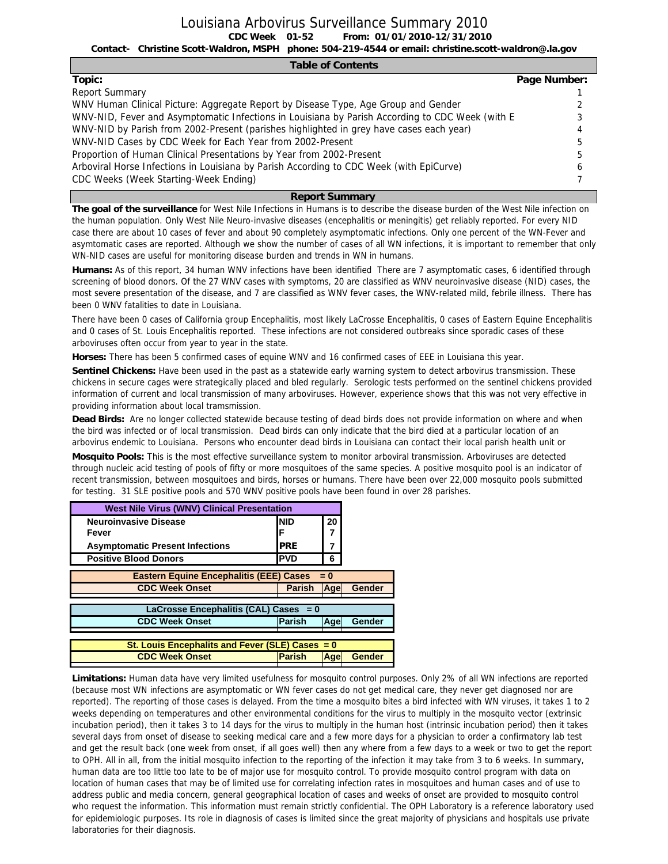**CDC Week From: 01/01/2010-12/31/2010 01-52** Louisiana Arbovirus Surveillance Summary 2010

**Contact- Christine Scott-Waldron, MSPH phone: 504-219-4544 or email: christine.scott-waldron@.la.gov**

| <b>Table of Contents</b>                                                                        |              |
|-------------------------------------------------------------------------------------------------|--------------|
| Topic:                                                                                          | Page Number: |
| <b>Report Summary</b>                                                                           |              |
| WNV Human Clinical Picture: Aggregate Report by Disease Type, Age Group and Gender              |              |
| WNV-NID, Fever and Asymptomatic Infections in Louisiana by Parish According to CDC Week (with E |              |
| WNV-NID by Parish from 2002-Present (parishes highlighted in grey have cases each year)         |              |
| WNV-NID Cases by CDC Week for Each Year from 2002-Present                                       |              |
| Proportion of Human Clinical Presentations by Year from 2002-Present                            |              |
| Arboviral Horse Infections in Louisiana by Parish According to CDC Week (with EpiCurve)         |              |
| CDC Weeks (Week Starting-Week Ending)                                                           |              |

#### **Report Summary**

**The goal of the surveillance** for West Nile Infections in Humans is to describe the disease burden of the West Nile infection on the human population. Only West Nile Neuro-invasive diseases (encephalitis or meningitis) get reliably reported. For every NID case there are about 10 cases of fever and about 90 completely asymptomatic infections. Only one percent of the WN-Fever and asymtomatic cases are reported. Although we show the number of cases of all WN infections, it is important to remember that only WN-NID cases are useful for monitoring disease burden and trends in WN in humans.

**Humans:** As of this report, 34 human WNV infections have been identified There are 7 asymptomatic cases, 6 identified through screening of blood donors. Of the 27 WNV cases with symptoms, 20 are classified as WNV neuroinvasive disease (NID) cases, the most severe presentation of the disease, and 7 are classified as WNV fever cases, the WNV-related mild, febrile illness. There has been 0 WNV fatalities to date in Louisiana.

There have been 0 cases of California group Encephalitis, most likely LaCrosse Encephalitis, 0 cases of Eastern Equine Encephalitis and 0 cases of St. Louis Encephalitis reported. These infections are not considered outbreaks since sporadic cases of these arboviruses often occur from year to year in the state.

**Horses:** There has been 5 confirmed cases of equine WNV and 16 confirmed cases of EEE in Louisiana this year.

**Sentinel Chickens:** Have been used in the past as a statewide early warning system to detect arbovirus transmission. These chickens in secure cages were strategically placed and bled regularly. Serologic tests performed on the sentinel chickens provided information of current and local transmission of many arboviruses. However, experience shows that this was not very effective in providing information about local tramsmission.

**Dead Birds:** Are no longer collected statewide because testing of dead birds does not provide information on where and when the bird was infected or of local transmission. Dead birds can only indicate that the bird died at a particular location of an arbovirus endemic to Louisiana. Persons who encounter dead birds in Louisiana can contact their local parish health unit or

**Mosquito Pools:** This is the most effective surveillance system to monitor arboviral transmission. Arboviruses are detected through nucleic acid testing of pools of fifty or more mosquitoes of the same species. A positive mosquito pool is an indicator of recent transmission, between mosquitoes and birds, horses or humans. There have been over 22,000 mosquito pools submitted for testing. 31 SLE positive pools and 570 WNV positive pools have been found in over 28 parishes.

| <b>West Nile Virus (WNV) Clinical Presentation</b> |               |            |               |
|----------------------------------------------------|---------------|------------|---------------|
| <b>Neuroinvasive Disease</b>                       | <b>NID</b>    | 20         |               |
| Fever                                              | F             |            |               |
| <b>Asymptomatic Present Infections</b>             | <b>PRE</b>    |            |               |
| <b>Positive Blood Donors</b>                       | <b>PVD</b>    | 6          |               |
| <b>Eastern Equine Encephalitis (EEE) Cases</b>     |               | $= 0$      |               |
| <b>CDC Week Onset</b>                              | <b>Parish</b> | Age        | Gender        |
|                                                    |               |            |               |
| LaCrosse Encephalitis (CAL) Cases = 0              |               |            |               |
| <b>CDC Week Onset</b>                              | Parish        | Age        | Gender        |
|                                                    |               |            |               |
| St. Louis Encephalits and Fever (SLE) Cases $= 0$  |               |            |               |
| <b>CDC Week Onset</b>                              | <b>Parish</b> | <b>Age</b> | <b>Gender</b> |
|                                                    |               |            |               |

**Limitations:** Human data have very limited usefulness for mosquito control purposes. Only 2% of all WN infections are reported (because most WN infections are asymptomatic or WN fever cases do not get medical care, they never get diagnosed nor are reported). The reporting of those cases is delayed. From the time a mosquito bites a bird infected with WN viruses, it takes 1 to 2 weeks depending on temperatures and other environmental conditions for the virus to multiply in the mosquito vector (extrinsic incubation period), then it takes 3 to 14 days for the virus to multiply in the human host (intrinsic incubation period) then it takes several days from onset of disease to seeking medical care and a few more days for a physician to order a confirmatory lab test and get the result back (one week from onset, if all goes well) then any where from a few days to a week or two to get the report to OPH. All in all, from the initial mosquito infection to the reporting of the infection it may take from 3 to 6 weeks. In summary, human data are too little too late to be of major use for mosquito control. To provide mosquito control program with data on location of human cases that may be of limited use for correlating infection rates in mosquitoes and human cases and of use to address public and media concern, general geographical location of cases and weeks of onset are provided to mosquito control who request the information. This information must remain strictly confidential. The OPH Laboratory is a reference laboratory used for epidemiologic purposes. Its role in diagnosis of cases is limited since the great majority of physicians and hospitals use private laboratories for their diagnosis.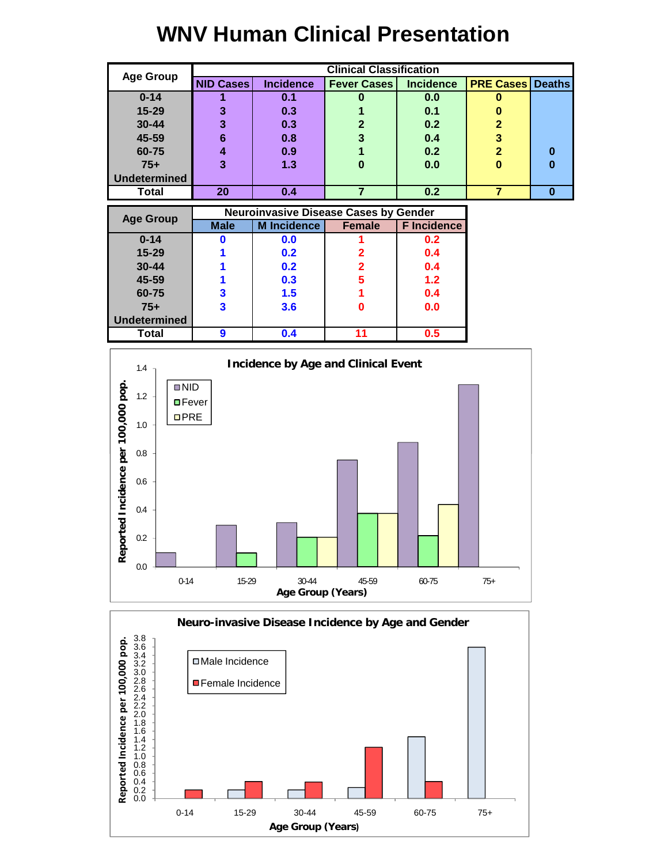# **WNV Human Clinical Presentation**

|                     |                  |                  | <b>Clinical Classification</b> |                  |                         |   |
|---------------------|------------------|------------------|--------------------------------|------------------|-------------------------|---|
| <b>Age Group</b>    | <b>NID Cases</b> | <b>Incidence</b> | <b>Fever Cases</b>             | <b>Incidence</b> | <b>PRE Cases Deaths</b> |   |
| $0 - 14$            |                  | 0.1              |                                | 0.0              | u                       |   |
| 15-29               | 3                | 0.3              |                                | 0.1              |                         |   |
| $30 - 44$           | 3                | 0.3              | 2                              | 0.2              | $\overline{2}$          |   |
| 45-59               | 6                | 0.8              |                                | 0.4              | 3                       |   |
| 60-75               |                  | 0.9              |                                | 0.2              | $\overline{2}$          | 0 |
| $75+$               | 3                | 1.3              |                                | 0.0              | 0                       | 0 |
| <b>Undetermined</b> |                  |                  |                                |                  |                         |   |
| Total               | 20               | 0.4              |                                | 0.2              |                         | O |

| <b>Age Group</b>    |             | <b>Neuroinvasive Disease Cases by Gender</b> |               |                    |
|---------------------|-------------|----------------------------------------------|---------------|--------------------|
|                     | <b>Male</b> | <b>M</b> Incidence                           | <b>Female</b> | <b>F</b> Incidence |
| $0 - 14$            |             | 0.0                                          |               | 0.2                |
| 15-29               |             | 0.2                                          |               | 0.4                |
| $30 - 44$           |             | 0.2                                          |               | 0.4                |
| 45-59               |             | 0.3                                          | 5             | 1.2                |
| 60-75               | 3           | 1.5                                          |               | 0.4                |
| $75+$               | 3           | 3.6                                          |               | 0.0                |
| <b>Undetermined</b> |             |                                              |               |                    |
| <b>Total</b>        | 9           | 0.4                                          | 11            | 0.5                |



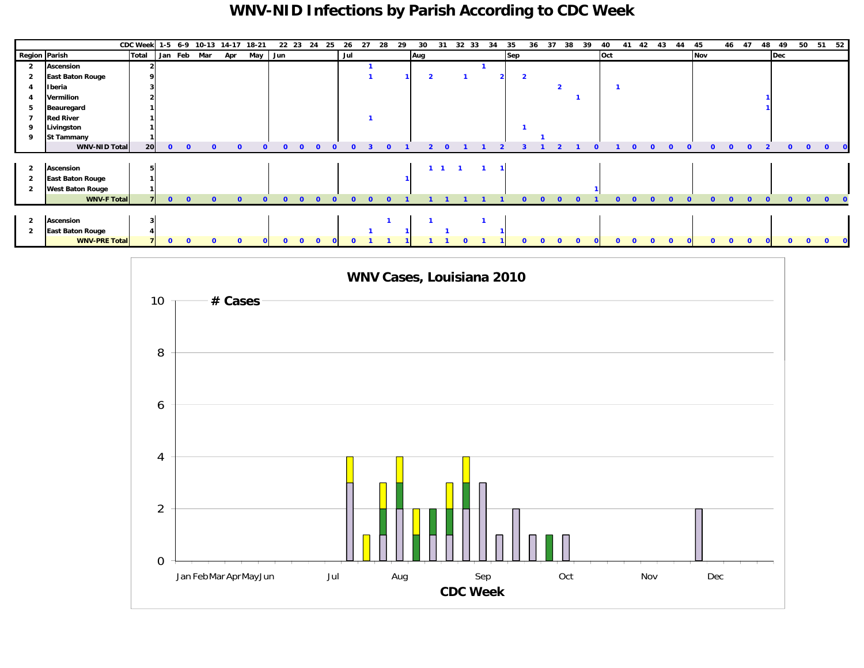### **WNV-NID Infections by Parish According to CDC Week**

|                      |                         | <b>CDC Week</b> |              |              | 1-5 6-9 10-13 14-17 18-21 |     |     |              | 22 23<br>- 24 | 25       | 26  | 27 | 28 | 29 | 30  | 31          | 32<br>- 33     | 34             | 35  |                         | 36<br>37 | 38 | 39       | 40  | 41 | 42 | 43 | 44 | 45  |          | 46 47    | 48 | 49  |             |              | 50 51 52     |
|----------------------|-------------------------|-----------------|--------------|--------------|---------------------------|-----|-----|--------------|---------------|----------|-----|----|----|----|-----|-------------|----------------|----------------|-----|-------------------------|----------|----|----------|-----|----|----|----|----|-----|----------|----------|----|-----|-------------|--------------|--------------|
| <b>Region Parish</b> |                         | <b>Total</b>    |              |              | Jan Feb Mar               | Apr | May | Jun          |               |          | Jul |    |    |    | Aug |             |                |                | Sep |                         |          |    |          | Oct |    |    |    |    | Nov |          |          |    | Dec |             |              |              |
|                      | Ascension               |                 |              |              |                           |     |     |              |               |          |     |    |    |    |     |             |                |                |     |                         |          |    |          |     |    |    |    |    |     |          |          |    |     |             |              |              |
|                      | <b>East Baton Rouge</b> |                 |              |              |                           |     |     |              |               |          |     |    |    |    |     |             |                |                |     | $\overline{\mathbf{2}}$ |          |    |          |     |    |    |    |    |     |          |          |    |     |             |              |              |
|                      | Iberia                  |                 |              |              |                           |     |     |              |               |          |     |    |    |    |     |             |                |                |     |                         |          |    |          |     |    |    |    |    |     |          |          |    |     |             |              |              |
|                      | Vermilion               |                 |              |              |                           |     |     |              |               |          |     |    |    |    |     |             |                |                |     |                         |          |    |          |     |    |    |    |    |     |          |          |    |     |             |              |              |
|                      | Beauregard              |                 |              |              |                           |     |     |              |               |          |     |    |    |    |     |             |                |                |     |                         |          |    |          |     |    |    |    |    |     |          |          |    |     |             |              |              |
|                      | <b>Red River</b>        |                 |              |              |                           |     |     |              |               |          |     |    |    |    |     |             |                |                |     |                         |          |    |          |     |    |    |    |    |     |          |          |    |     |             |              |              |
|                      | Livingston              |                 |              |              |                           |     |     |              |               |          |     |    |    |    |     |             |                |                |     |                         |          |    |          |     |    |    |    |    |     |          |          |    |     |             |              |              |
|                      | <b>St Tammany</b>       |                 |              |              |                           |     |     |              |               |          |     |    |    |    |     |             |                |                |     |                         |          |    |          |     |    |    |    |    |     |          |          |    |     |             |              |              |
|                      | <b>WNV-NID Total</b>    | 20              | $\bullet$    | $\mathbf{0}$ |                           |     |     | $\Omega$     | $\Omega$      | $\Omega$ |     |    |    |    |     |             |                |                |     |                         |          |    |          |     |    |    |    |    |     |          |          |    |     |             |              | $\Omega$     |
|                      |                         |                 |              |              |                           |     |     |              |               |          |     |    |    |    |     |             |                |                |     |                         |          |    |          |     |    |    |    |    |     |          |          |    |     |             |              |              |
| $\overline{2}$       | Ascension               |                 |              |              |                           |     |     |              |               |          |     |    |    |    |     | $1 \quad 1$ | $\blacksquare$ | $\blacksquare$ |     |                         |          |    |          |     |    |    |    |    |     |          |          |    |     |             |              |              |
| 2                    | <b>East Baton Rouge</b> |                 |              |              |                           |     |     |              |               |          |     |    |    |    |     |             |                |                |     |                         |          |    |          |     |    |    |    |    |     |          |          |    |     |             |              |              |
|                      | <b>West Baton Rouge</b> |                 |              |              |                           |     |     |              |               |          |     |    |    |    |     |             |                |                |     |                         |          |    |          |     |    |    |    |    |     |          |          |    |     |             |              |              |
|                      | <b>WNV-F Total</b>      |                 | $\mathbf{0}$ | $\mathbf{0}$ |                           |     |     | $\Omega$     | $\Omega$      | $\Omega$ |     |    |    |    |     |             |                |                |     |                         |          |    |          |     |    |    |    |    |     |          |          |    |     |             | $\mathbf{0}$ | $\mathbf{0}$ |
|                      |                         |                 |              |              |                           |     |     |              |               |          |     |    |    |    |     |             |                |                |     |                         |          |    |          |     |    |    |    |    |     |          |          |    |     |             |              |              |
| $\overline{2}$       | Ascension               |                 |              |              |                           |     |     |              |               |          |     |    |    |    |     |             |                |                |     |                         |          |    |          |     |    |    |    |    |     |          |          |    |     |             |              |              |
| -2                   | <b>East Baton Rouge</b> |                 |              |              |                           |     |     |              |               |          |     |    |    |    |     |             |                |                |     |                         |          |    |          |     |    |    |    |    |     |          |          |    |     |             |              |              |
|                      | <b>WNV-PRE Total</b>    |                 | $\mathbf{0}$ | $\mathbf{0}$ |                           |     |     | $\mathbf{0}$ | $\Omega$      |          |     |    |    |    |     |             |                |                |     | <sup>0</sup>            |          |    | $\Omega$ |     |    |    |    |    |     | $\Omega$ | $\Omega$ |    |     | $0 \quad 0$ | $\bullet$    |              |

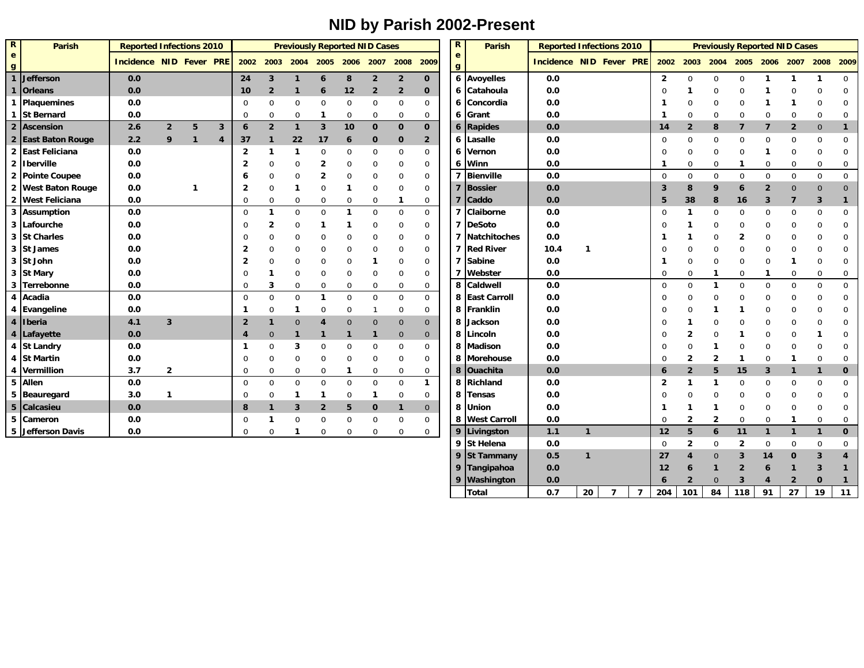## **NID by Parish 2002-Present**

| $\overline{\mathbf{R}}$ | <b>Parish</b>      | <b>Reported Infections 2010</b> |                |              |                |                     |                |                |                |                | <b>Previously Reported NID Cases</b> |                |                | $\mathbf R$  | Parish              | <b>Reported Infections 2010</b> |              |                |                |                         |                         |                | <b>Previously Reported NID Cases</b> |                |                |                |              |
|-------------------------|--------------------|---------------------------------|----------------|--------------|----------------|---------------------|----------------|----------------|----------------|----------------|--------------------------------------|----------------|----------------|--------------|---------------------|---------------------------------|--------------|----------------|----------------|-------------------------|-------------------------|----------------|--------------------------------------|----------------|----------------|----------------|--------------|
| e                       |                    | <b>Incidence NID Fever PRE</b>  |                |              |                | 2002                | 2003           | 2004           | 2005 2006      |                | 2007                                 | 2008 2009      |                | e            |                     | <b>Incidence NID Fever PRE</b>  |              |                |                | 2002                    | 2003                    | 2004           | 2005 2006 2007                       |                |                | 2008           | 2009         |
| g                       |                    |                                 |                |              |                |                     |                |                |                |                |                                      |                |                | $\mathbf{g}$ |                     |                                 |              |                |                |                         |                         |                |                                      |                |                |                |              |
|                         | <b>Jefferson</b>   | 0.0                             |                |              |                | 24                  | $\mathbf{3}$   | $\mathbf{1}$   | $\mathbf 6$    | 8              | $\overline{\mathbf{2}}$              | $\overline{2}$ | $\mathbf 0$    |              | 6 Avoyelles         | 0.0                             |              |                |                | $\overline{\mathbf{2}}$ | $\mathbf 0$             | $\mathbf 0$    | $\mathbf 0$                          | 1              | -1             | 1              | $\mathbf 0$  |
|                         | <b>Orleans</b>     | 0.0                             |                |              |                | 10                  | $\overline{2}$ | $\mathbf{1}$   | 6              | 12             | $\overline{2}$                       | $\overline{2}$ | 0              |              | 6 Catahoula         | 0.0                             |              |                |                | $\Omega$                |                         | 0              | $\mathbf 0$                          |                | 0              | 0              | $\Omega$     |
|                         | <b>Plaquemines</b> | 0.0                             |                |              |                | $\mathbf 0$         | 0              | $\mathbf 0$    | $\mathbf 0$    | $\mathbf 0$    | 0                                    | 0              | 0              | 6            | Concordia           | 0.0                             |              |                |                |                         | 0                       | 0              | 0                                    |                |                | 0              | 0            |
| 1                       | <b>St Bernard</b>  | 0.0                             |                |              |                | $\Omega$            | 0              | $\mathbf 0$    | -1             | $\mathbf 0$    | $\mathbf 0$                          | 0              | 0              | 6            | Grant               | 0.0                             |              |                |                | -1                      | 0                       | 0              | $\mathbf 0$                          | 0              | 0              | 0              | 0            |
|                         | 2 Ascension        | 2.6                             | $\overline{2}$ | 5            | 3              | $\ddot{\mathbf{6}}$ | $\overline{2}$ | $\mathbf{1}$   | $\mathbf{3}$   | 10             | $\mathbf{0}$                         | $\mathbf 0$    | $\mathbf 0$    | 6            | Rapides             | 0.0                             |              |                |                | 14                      | $\overline{2}$          | 8              | $\overline{7}$                       | $\overline{7}$ | $\overline{2}$ | $\mathbf{0}$   | $\mathbf{1}$ |
|                         | 2 East Baton Rouge | 2.2                             | 9              | $\mathbf{1}$ | $\overline{4}$ | 37                  | $\mathbf{1}$   | 22             | 17             | 6              | $\mathbf 0$                          | 0              | $\overline{2}$ | 6            | Lasalle             | 0.0                             |              |                |                | $\mathbf 0$             | $\Omega$                | $\mathbf 0$    | $\mathbf 0$                          | 0              | 0              | $\mathbf 0$    | 0            |
|                         | 2 East Feliciana   | 0.0                             |                |              |                | $\overline{2}$      |                | $\mathbf 1$    | $\mathbf 0$    | 0              | 0                                    | 0              | 0              | 6            | Vernon              | 0.0                             |              |                |                | $\Omega$                | $\Omega$                | $\mathbf 0$    | $\mathbf 0$                          | 1              | $\mathbf 0$    | 0              | $\mathbf 0$  |
|                         | 2 Iberville        | 0.0                             |                |              |                | $\overline{2}$      | 0              | $\mathbf 0$    | 2              | 0              | 0                                    | 0              | 0              | 6            | <b>Winn</b>         | 0.0                             |              |                |                | -1                      | $\Omega$                | 0              | $\mathbf{1}$                         | 0              | $\mathbf 0$    | 0              | 0            |
|                         | 2 Pointe Coupee    | 0.0                             |                |              |                | 6                   | 0              | $\mathbf 0$    | 2              | 0              | 0                                    | 0              | 0              | 7            | <b>Bienville</b>    | 0.0                             |              |                |                | $\mathbf 0$             | $\Omega$                | $\Omega$       | $\mathbf 0$                          | $\mathbf 0$    | $\mathbf 0$    | 0              | 0            |
|                         | 2 West Baton Rouge | 0.0                             |                | $\mathbf 1$  |                | 2                   | 0              | $\mathbf 1$    | $\mathbf 0$    | -1             | 0                                    | 0              | 0              |              | <b>Bossier</b>      | 0.0                             |              |                |                | 3                       | 8                       | 9              | 6                                    | $\overline{2}$ | $\mathbf 0$    | $\mathbf 0$    | $\mathbf 0$  |
|                         | 2 West Feliciana   | 0.0                             |                |              |                | $\Omega$            | $\Omega$       | $\mathbf 0$    | $\mathbf 0$    | $\overline{0}$ | $\Omega$                             | $\mathbf{1}$   | 0              |              | <b>Caddo</b>        | 0.0                             |              |                |                | 5                       | 38                      | 8              | 16                                   | 3              | 7              | 3              | 1            |
| 3                       | <b>Assumption</b>  | 0.0                             |                |              |                | $\Omega$            |                | $\mathbf 0$    | $\mathbf 0$    | -1             | $\Omega$                             | 0              | $\mathbf 0$    | 7            | Claiborne           | 0.0                             |              |                |                | $\Omega$                | $\mathbf 1$             | 0              | $\mathbf 0$                          | 0              | 0              | 0              | 0            |
| 3                       | Lafourche          | 0.0                             |                |              |                | $\Omega$            | 2              | $\mathbf 0$    |                |                | 0                                    | 0              | 0              | 7            | DeSoto              | 0.0                             |              |                |                | $\Omega$                | -1                      | 0              | $\mathbf 0$                          | 0              | 0              | 0              | 0            |
|                         | 3 St Charles       | 0.0                             |                |              |                | $\Omega$            | 0              | $\mathbf 0$    | 0              | 0              | 0                                    | 0              | 0              | 7            | Natchitoches        | 0.0                             |              |                |                |                         | -1                      | 0              | $\overline{2}$                       | 0              | 0              | 0              | 0            |
|                         | 3 St James         | 0.0                             |                |              |                | 2                   | 0              | $\mathbf 0$    | 0              | 0              | 0                                    | 0              | 0              | 7            | <b>Red River</b>    | 10.4                            | -1           |                |                | $\Omega$                | $\mathbf 0$             | 0              | 0                                    | 0              | 0              | 0              | 0            |
|                         | 3 St John          | 0.0                             |                |              |                | 2                   | 0              | $\mathbf 0$    | 0              | 0              | 1                                    | 0              | 0              | 7            | Sabine              | 0.0                             |              |                |                | -1                      | $\Omega$                | 0              | $\mathbf 0$                          | 0              | 1              | 0              | 0            |
|                         | 3 St Mary          | 0.0                             |                |              |                | $\Omega$            |                | $\mathbf 0$    | 0              | 0              | 0                                    | 0              | 0              | 7            | Webster             | 0.0                             |              |                |                | 0                       | $\mathbf 0$             | 1              | 0                                    | 1              | 0              | 0              | 0            |
|                         | 3 Terrebonne       | 0.0                             |                |              |                | $\Omega$            | 3              | $\mathbf 0$    | $\Omega$       | $\Omega$       | $\Omega$                             | 0              | $\mathbf 0$    | 8            | <b>Caldwell</b>     | 0.0                             |              |                |                | $\mathbf 0$             | $\Omega$                | 1              | $\mathbf 0$                          | $\mathbf 0$    | $\Omega$       | 0              | 0            |
| 4                       | Acadia             | 0.0                             |                |              |                | $\mathbf 0$         | 0              | $\mathbf 0$    | $\mathbf 1$    | $\overline{0}$ | 0                                    | 0              | $\mathbf 0$    | 8            | <b>East Carroll</b> | 0.0                             |              |                |                | $\Omega$                | $\Omega$                | 0              | $\mathbf 0$                          | 0              | 0              | 0              | 0            |
|                         | 4 Evangeline       | 0.0                             |                |              |                | -1                  | 0              | 1              | $\mathbf 0$    | $\mathbf 0$    |                                      | 0              | 0              |              | 8 Franklin          | 0.0                             |              |                |                | $\Omega$                | $\Omega$                |                | -1                                   | 0              | 0              | 0              | 0            |
|                         | 4 Iberia           | 4.1                             | $\mathbf{3}$   |              |                | $\overline{2}$      |                | $\overline{0}$ | $\overline{4}$ | $\overline{0}$ | $\mathbf{0}$                         | $\mathbf 0$    | $\mathbf{0}$   | 8            | Jackson             | 0.0                             |              |                |                | $\Omega$                |                         | 0              | 0                                    | 0              | 0              | 0              | $\Omega$     |
|                         | 4 Lafayette        | 0.0                             |                |              |                | 4                   | $\overline{0}$ | $\mathbf{1}$   |                |                |                                      | $\mathbf 0$    | $\mathbf 0$    | 8            | Lincoln             | 0.0                             |              |                |                | 0                       | $\overline{\mathbf{2}}$ | 0              |                                      | 0              | 0              |                | 0            |
|                         | 4 St Landry        | 0.0                             |                |              |                | -1                  | 0              | 3              | $\mathbf 0$    | 0              | 0                                    | 0              | 0              | 8            | Madison             | 0.0                             |              |                |                | $\Omega$                | $\mathbf 0$             |                | 0                                    | 0              | 0              | 0              | 0            |
|                         | 4 St Martin        | 0.0                             |                |              |                | $\mathbf 0$         | 0              | $\mathbf 0$    | $\mathbf 0$    | $\Omega$       | $\Omega$                             | 0              | $\mathbf 0$    | 8            | Morehouse           | 0.0                             |              |                |                | $\Omega$                | $\overline{2}$          | $\overline{2}$ | $\mathbf 1$                          | $\Omega$       | -1             | $\Omega$       | $\Omega$     |
|                         | 4 Vermillion       | 3.7                             | $\overline{2}$ |              |                | $\Omega$            | $\Omega$       | $\mathbf 0$    | $\mathbf 0$    | -1             | $\Omega$                             | 0              | 0              | 8            | <b>Ouachita</b>     | 0.0                             |              |                |                | 6                       | $\overline{2}$          | 5              | 15                                   | 3              | 1              | 1              | $\mathbf 0$  |
|                         | 5 Allen            | 0.0                             |                |              |                | $\mathbf 0$         | $\Omega$       | $\mathbf 0$    | $\mathbf 0$    | $\overline{0}$ | 0                                    | 0              | 1              | 8            | Richland            | 0.0                             |              |                |                | 2                       | -1                      |                | $\mathbf 0$                          | 0              | 0              | 0              | 0            |
|                         | 5 Beauregard       | 3.0                             | $\mathbf 1$    |              |                | $\mathbf 0$         | $\Omega$       | $\mathbf 1$    | $\mathbf 1$    | $\mathbf 0$    | 1                                    | 0              | 0              | 8            | Tensas              | 0.0                             |              |                |                | $\Omega$                | $\Omega$                | 0              | 0                                    | 0              | 0              | 0              | 0            |
|                         | 5 Calcasieu        | 0.0                             |                |              |                | 8                   |                | $\overline{3}$ | $\overline{2}$ | 5              | 0                                    | $\mathbf{1}$   | $\mathbf 0$    | 8            | Union               | 0.0                             |              |                |                | -1                      | $\mathbf 1$             | -1             | $\mathbf 0$                          | 0              | 0              | 0              | 0            |
|                         | 5 Cameron          | 0.0                             |                |              |                | 0                   |                | $\mathbf 0$    | $\mathbf 0$    | $\mathbf 0$    | 0                                    | 0              | 0              |              | 8 West Carroll      | 0.0                             |              |                |                | 0                       | $\overline{2}$          | $\overline{2}$ | $\mathbf 0$                          | $\overline{0}$ | -1             | 0              | 0            |
|                         | 5 Jefferson Davis  | 0.0                             |                |              |                | $\mathbf 0$         | 0              | 1              | $\mathbf 0$    | $\mathbf 0$    | 0                                    | 0              | 0              | 9            | Livingston          | 1.1                             | $\mathbf{1}$ |                |                | 12                      | 5                       | 6              | 11                                   | $\mathbf{1}$   | $\mathbf{1}$   | $\blacksquare$ | $\mathbf 0$  |
|                         |                    |                                 |                |              |                |                     |                |                |                |                |                                      |                |                | 9            | St Helena           | 0.0                             |              |                |                | $\mathbf 0$             | $\overline{2}$          | $\Omega$       | $\overline{2}$                       | $\mathbf 0$    | $\mathbf 0$    | 0              | $\mathbf 0$  |
|                         |                    |                                 |                |              |                |                     |                |                |                |                |                                      |                |                | 9            | <b>St Tammany</b>   | 0.5                             | $\mathbf{1}$ |                |                | 27                      | 4                       | 0              | $\overline{\mathbf{3}}$              | 14             | $\Omega$       | 3              | 4            |
|                         |                    |                                 |                |              |                |                     |                |                |                |                |                                      |                |                | q            | Tangipahoa          | 0.0                             |              |                |                | 12                      | 6                       |                | $\overline{2}$                       | 6              | -1             | 3              | 1            |
|                         |                    |                                 |                |              |                |                     |                |                |                |                |                                      |                |                |              | Washington          | 0.0                             |              |                |                | $\ddot{\mathbf{6}}$     |                         |                | 3                                    |                | $\overline{2}$ | 0              |              |
|                         |                    |                                 |                |              |                |                     |                |                |                |                |                                      |                |                |              | Total               | 0.7                             | 20           | $\overline{7}$ | $\overline{7}$ | 204                     | 101                     | 84             | 118                                  | 91             | 27             | 19             | 11           |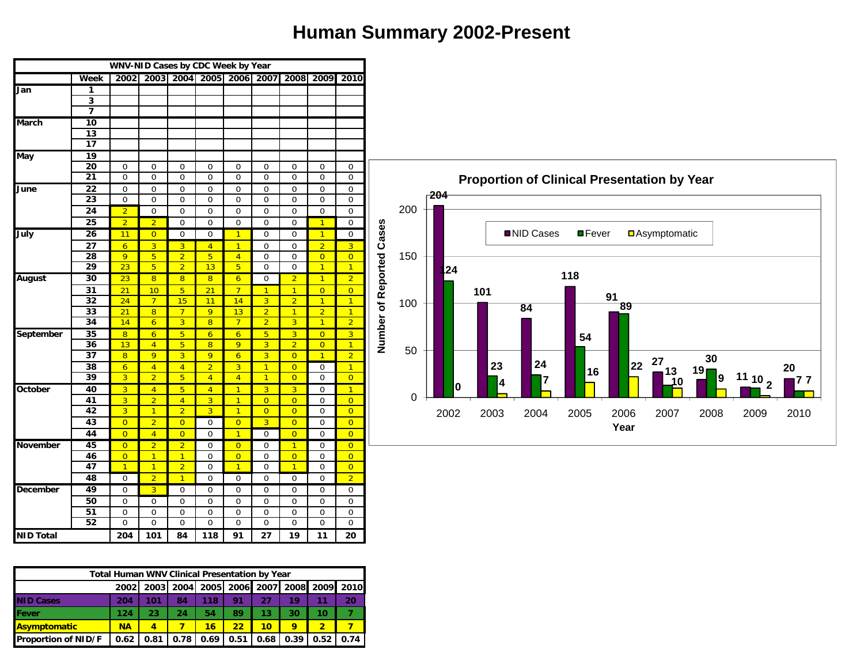# **Human Summary 2002-Present**

|                  |                 | WNV-NID Cases by CDC Week by Year |                 |                |                |                |                |                                              |                |                |             |     |        |     |      |            |                                                    |      |                      |          |                    |      |
|------------------|-----------------|-----------------------------------|-----------------|----------------|----------------|----------------|----------------|----------------------------------------------|----------------|----------------|-------------|-----|--------|-----|------|------------|----------------------------------------------------|------|----------------------|----------|--------------------|------|
|                  | Week            |                                   |                 |                |                |                |                | 2002 2003 2004 2005 2006 2007 2008 2009 2010 |                |                |             |     |        |     |      |            |                                                    |      |                      |          |                    |      |
| Jan              | $\mathbf{1}$    |                                   |                 |                |                |                |                |                                              |                |                |             |     |        |     |      |            |                                                    |      |                      |          |                    |      |
|                  | $\mathbf{3}$    |                                   |                 |                |                |                |                |                                              |                |                |             |     |        |     |      |            |                                                    |      |                      |          |                    |      |
|                  | $\overline{7}$  |                                   |                 |                |                |                |                |                                              |                |                |             |     |        |     |      |            |                                                    |      |                      |          |                    |      |
| <b>March</b>     | 10              |                                   |                 |                |                |                |                |                                              |                |                |             |     |        |     |      |            |                                                    |      |                      |          |                    |      |
|                  | $\overline{13}$ |                                   |                 |                |                |                |                |                                              |                |                |             |     |        |     |      |            |                                                    |      |                      |          |                    |      |
|                  | 17              |                                   |                 |                |                |                |                |                                              |                |                |             |     |        |     |      |            |                                                    |      |                      |          |                    |      |
| May              | $\overline{19}$ |                                   |                 |                |                |                |                |                                              |                |                |             |     |        |     |      |            |                                                    |      |                      |          |                    |      |
|                  | 20              | $\mathbf 0$                       | $\mathbf 0$     | $\mathbf 0$    | $\mathbf 0$    | $\mathbf 0$    | $\mathbf 0$    | $\mathbf 0$                                  | $\mathbf 0$    | $\mathbf{0}$   |             |     |        |     |      |            |                                                    |      |                      |          |                    |      |
|                  | 21              | $\mathbf 0$                       | $\mathbf 0$     | $\mathbf 0$    | $\mathbf 0$    | $\mathbf 0$    | $\mathbf 0$    | $\mathbf 0$                                  | $\mathbf 0$    | $\mathbf 0$    |             |     |        |     |      |            | <b>Proportion of Clinical Presentation by Year</b> |      |                      |          |                    |      |
| June             | 22              | 0                                 | $\mathbf 0$     | $\mathbf 0$    | $\mathbf 0$    | $\mathbf 0$    | $\mathbf 0$    | $\mathbf{0}$                                 | $\mathbf 0$    | $\overline{0}$ |             |     | $-204$ |     |      |            |                                                    |      |                      |          |                    |      |
|                  | $\overline{23}$ | $\mathbf 0$                       | $\mathbf 0$     | $\mathbf 0$    | $\Omega$       | $\mathbf 0$    | $\mathbf 0$    | $\mathbf 0$                                  | $\mathbf 0$    | $\mathbf 0$    |             |     |        |     |      |            |                                                    |      |                      |          |                    |      |
|                  | 24              | 2 <sup>1</sup>                    | $\mathbf 0$     | $\mathbf 0$    | $\mathbf 0$    | $\mathbf 0$    | $\mathbf 0$    | $\mathbf 0$                                  | $\mathbf 0$    | $\mathbf 0$    |             | 200 |        |     |      |            |                                                    |      |                      |          |                    |      |
|                  | 25              | 2 <sup>2</sup>                    | 2 <sup>1</sup>  | $\mathbf 0$    | $\mathbf 0$    | $\mathbf 0$    | $\mathbf 0$    | $\mathbf 0$                                  | $\mathbf{1}$   | $\mathbf 0$    |             |     |        |     |      |            |                                                    |      |                      |          |                    |      |
| July             | $\overline{26}$ | 11                                | $\overline{0}$  | $\mathbf 0$    | $\mathbf{0}$   | $\mathbf{1}$   | $\mathbf 0$    | $\mathbf{0}$                                 | $\mathbf{1}$   | $\mathbf 0$    | Cases       |     |        |     |      | ■NID Cases | $\square$ Fever                                    |      | <b>DAsymptomatic</b> |          |                    |      |
|                  | 27              | $6\overline{6}$                   | 3 <sup>1</sup>  | $\overline{3}$ | $\overline{4}$ | $\overline{1}$ | $\mathbf 0$    | $\mathbf 0$                                  | $\overline{2}$ | $\overline{3}$ |             |     |        |     |      |            |                                                    |      |                      |          |                    |      |
|                  | 28              | 9 <sup>°</sup>                    | 5 <sup>5</sup>  | 2 <sup>7</sup> | $-5$           | $\overline{4}$ | $\mathbf 0$    | $\mathbf 0$                                  | $\overline{0}$ | $\overline{0}$ |             | 150 |        |     |      |            |                                                    |      |                      |          |                    |      |
|                  | 29              | 23                                | 5 <sup>1</sup>  | 2 <sup>7</sup> | 13             | 5 <sub>o</sub> | $\mathbf 0$    | $\mathbf 0$                                  | $\mathbf{1}$   | $\mathbf{1}$   | of Reported |     | 24     |     |      |            |                                                    |      |                      |          |                    |      |
| <b>August</b>    | 30              | 23                                | 8 <sup>°</sup>  | 8 <sup>°</sup> | 8              | 6 <sup>1</sup> | $\mathbf 0$    | 2 <sup>2</sup>                               | $\mathbf{1}$   | $\overline{2}$ |             |     |        |     |      |            | 118                                                |      |                      |          |                    |      |
|                  | $\overline{31}$ | 21                                | 10              | 5 <sup>1</sup> | 21             | $7^{\circ}$    | $\sqrt{1}$     | $\mathbf{1}$                                 | $\overline{0}$ | $\overline{0}$ |             |     |        | 101 |      |            |                                                    | 91   |                      |          |                    |      |
|                  | 32              | 24                                | $7\overline{ }$ | 15             | 11             | 14             | 3 <sup>°</sup> | 2 <sup>7</sup>                               | $\mathbf{1}$   | $\mathbf{1}$   |             | 100 |        |     |      | 84         |                                                    | 89   |                      |          |                    |      |
|                  | 33              | $\overline{21}$                   | 8 <sup>°</sup>  | 7 <sup>7</sup> | $\overline{9}$ | 13             | $\overline{2}$ | $\overline{1}$                               | $\overline{2}$ | $\overline{1}$ |             |     |        |     |      |            |                                                    |      |                      |          |                    |      |
|                  | 34              | 14                                | 6 <sup>1</sup>  | $\overline{3}$ | 8              | 7 <sup>7</sup> | $\overline{2}$ | $\overline{3}$                               | $\overline{1}$ | $\overline{2}$ | Number      |     |        |     |      |            |                                                    |      |                      |          |                    |      |
| September        | 35              | 8 <sup>°</sup>                    | 6 <sup>1</sup>  | 5 <sup>2</sup> | 6              | 6 <sup>1</sup> | 5 <sup>1</sup> | 3 <sup>2</sup>                               | $\overline{0}$ | 3 <sup>2</sup> |             |     |        |     |      |            | 54                                                 |      |                      |          |                    |      |
|                  | 36              | 13 <sup>°</sup>                   | $\overline{4}$  | 5 <sup>1</sup> | 8              | 9              | 3 <sup>2</sup> | 2 <sup>7</sup>                               | $\overline{0}$ | $\overline{1}$ |             | 50  |        |     |      |            |                                                    |      |                      |          |                    |      |
|                  | 37              | 8                                 | 9               | 3 <sup>°</sup> | $\overline{9}$ | 6 <sup>1</sup> | $\overline{3}$ | $\overline{0}$                               | $\overline{1}$ | $\overline{2}$ |             |     |        |     |      |            |                                                    |      | 27                   | 30       |                    |      |
|                  | 38              | 6 <sup>6</sup>                    | $\overline{4}$  | $\overline{4}$ | $\overline{2}$ | 3 <sup>°</sup> | $\sqrt{1}$     | $\overline{0}$                               | $\mathbf 0$    | $\overline{1}$ |             |     |        |     | 23   | 24         | 16                                                 | 22   | 13                   | 19       |                    | 20   |
|                  | 39              | 3 <sup>°</sup>                    | 2 <sup>1</sup>  | 5 <sub>5</sub> | $\overline{4}$ | $\overline{4}$ | $\overline{1}$ | $\overline{0}$                               | $\mathbf 0$    | $\overline{0}$ |             |     | U      |     | 4    |            |                                                    |      | 10                   | <b>9</b> | $\frac{11}_{10}$ 2 | 177  |
| <b>October</b>   | 40              | 3 <sup>2</sup>                    | $\overline{4}$  | 5 <sub>1</sub> | $\overline{4}$ | $\mathbf{1}$   | 3 <sup>°</sup> | 3 <sup>2</sup>                               | $\mathbf 0$    | $\mathbf{1}$   |             | 0   |        |     |      |            |                                                    |      |                      |          |                    |      |
|                  | 41              | 3 <sup>°</sup>                    | $\overline{2}$  | $\overline{4}$ | $\overline{3}$ | $\overline{1}$ | $\overline{0}$ | $\overline{0}$                               | $\mathbf 0$    | $\overline{0}$ |             |     |        |     |      |            |                                                    |      |                      |          |                    |      |
|                  | 42              | $\overline{3}$                    | $\mathbf{1}$    | 2 <sup>7</sup> | $\overline{3}$ | $\overline{1}$ | $\overline{0}$ | $\overline{0}$                               | $\mathbf 0$    | $\overline{0}$ |             |     | 2002   |     | 2003 | 2004       | 2005                                               | 2006 | 2007                 | 2008     | 2009               | 2010 |
|                  | 43              | $\overline{0}$                    | 2 <sup>1</sup>  | $\overline{0}$ | $\mathbf 0$    | $\overline{0}$ | 3 <sup>2</sup> | $\overline{0}$                               | $\mathbf 0$    | $\overline{0}$ |             |     |        |     |      |            |                                                    | Year |                      |          |                    |      |
|                  | 44              | $\overline{0}$                    | $\overline{4}$  | $\overline{0}$ | $\mathbf 0$    | $\mathbf{1}$   | $\mathbf 0$    | $\overline{0}$                               | $\mathbf 0$    | $\overline{0}$ |             |     |        |     |      |            |                                                    |      |                      |          |                    |      |
| <b>November</b>  | 45              | $\overline{0}$                    | 2 <sup>1</sup>  | 2 <sup>1</sup> | $\mathbf{0}$   | $\overline{0}$ | $\mathbf 0$    | $\mathbf{1}$                                 | $\mathbf 0$    | $\overline{0}$ |             |     |        |     |      |            |                                                    |      |                      |          |                    |      |
|                  | 46              | $\overline{0}$                    | $\mathbf{1}$    | $\mathbf{1}$   | $\Omega$       | $\overline{0}$ | $\mathbf 0$    | $\overline{0}$                               | $\mathbf 0$    | $\overline{0}$ |             |     |        |     |      |            |                                                    |      |                      |          |                    |      |
|                  | 47              | $\overline{1}$                    | $\vert$ 1       | 2 <sup>1</sup> | $\mathbf 0$    | $\overline{1}$ | $\mathbf 0$    | $\mathbf{1}$                                 | $\mathbf 0$    | $\overline{0}$ |             |     |        |     |      |            |                                                    |      |                      |          |                    |      |
|                  | 48              | $\mathbf 0$                       | 2 <sup>1</sup>  | $\overline{1}$ | $\mathbf 0$    | $\overline{0}$ | $\mathbf 0$    | $\overline{0}$                               | $\mathbf 0$    | $\overline{2}$ |             |     |        |     |      |            |                                                    |      |                      |          |                    |      |
| <b>December</b>  | 49              | $\mathbf 0$                       | 3 <sup>°</sup>  | $\mathbf 0$    | $\overline{0}$ | $\overline{0}$ | $\mathbf 0$    | $\overline{0}$                               | 0              | $\overline{0}$ |             |     |        |     |      |            |                                                    |      |                      |          |                    |      |
|                  | 50              | $\mathbf 0$                       | $\mathbf 0$     | $\mathbf 0$    | $\mathbf{0}$   | $\mathbf 0$    | $\mathbf 0$    | $\mathbf 0$                                  | $\mathbf 0$    | $\mathbf 0$    |             |     |        |     |      |            |                                                    |      |                      |          |                    |      |
|                  | 51              | $\mathbf 0$                       | $\mathbf 0$     | $\mathbf{0}$   | $\mathbf 0$    | $\mathbf 0$    | $\mathbf 0$    | $\mathbf 0$                                  | $\mathbf{0}$   | $\mathbf{0}$   |             |     |        |     |      |            |                                                    |      |                      |          |                    |      |
|                  | 52              | $\mathbf 0$                       | $\mathbf 0$     | $\mathbf 0$    | $\mathbf 0$    | $\mathbf 0$    | $\mathbf 0$    | $\mathbf 0$                                  | $\mathbf 0$    | $\mathbf 0$    |             |     |        |     |      |            |                                                    |      |                      |          |                    |      |
| <b>NID Total</b> |                 | 204                               | 101             | 84             | 118            | 91             | 27             | 19                                           | 11             | 20             |             |     |        |     |      |            |                                                    |      |                      |          |                    |      |

|                     | <b>Total Human WNV Clinical Presentation by Year</b> |      |      |      |      |      |      |                                         |      |
|---------------------|------------------------------------------------------|------|------|------|------|------|------|-----------------------------------------|------|
|                     | 2002 <b>1</b>                                        |      |      |      |      |      |      | 2003 2004 2005 2006 2007 2008 2009 2010 |      |
| <b>NID Cases</b>    | 204                                                  | 101  | 84   | 118  | 91   | 27   | 19   |                                         | 20   |
| Fever               | 124                                                  | 23   | 24   | 54   | 89   | 13   | 30   | 10                                      |      |
| Asymptomatic        | <b>NA</b>                                            | 4    |      | 16   | 22   | 10   | 9    | $\overline{\mathbf{c}}$                 |      |
| Proportion of NID/F | 0.62                                                 | 0.81 | 0.78 | 0.69 | 0.51 | 0.68 | 0.39 | 0.52                                    | 0.74 |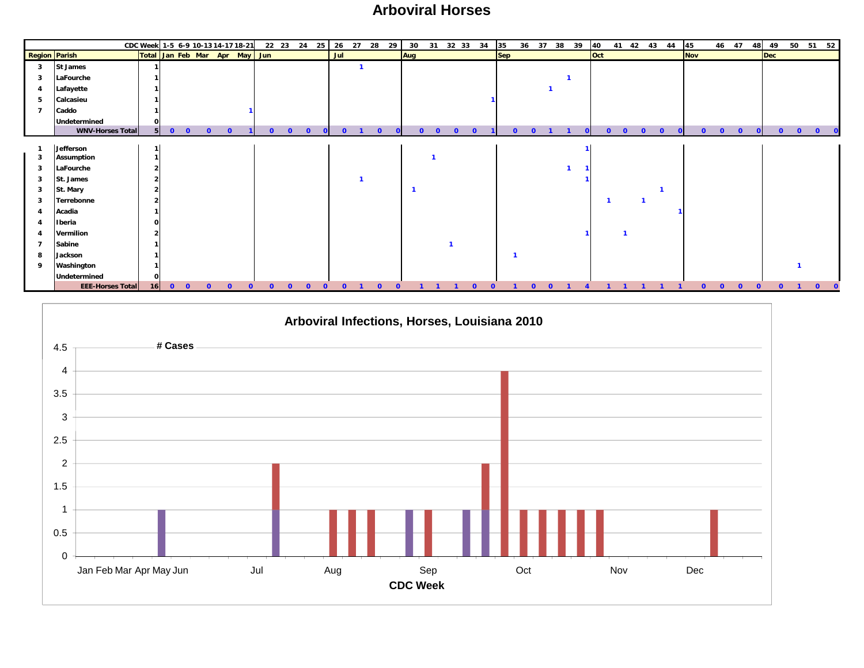#### **Arboviral Horses**

|                      |                                | CDC Week 1-5 6-9 10-13 14-17 18-21 |         |                         |          |          |          |  |          | 22 23 24 25 26 27 28 29 |          | 30  |          |              |          | 31 32 33 34 35 |   |            |          | 36 37 38 39 | 40         |          |          | 41 42 43 44   | 45         |          | 46 47        |          | 48       |            |          |          | 49 50 51 52 |
|----------------------|--------------------------------|------------------------------------|---------|-------------------------|----------|----------|----------|--|----------|-------------------------|----------|-----|----------|--------------|----------|----------------|---|------------|----------|-------------|------------|----------|----------|---------------|------------|----------|--------------|----------|----------|------------|----------|----------|-------------|
| <b>Region Parish</b> |                                | Total Jan Feb Mar Apr May Jun      |         |                         |          |          |          |  |          | Jul                     |          | Aug |          |              |          |                |   | <b>Sep</b> |          |             | <b>Oct</b> |          |          |               | <b>Nov</b> |          |              |          |          | <b>Dec</b> |          |          |             |
| 3                    | <b>St James</b>                |                                    |         |                         |          |          |          |  |          |                         |          |     |          |              |          |                |   |            |          |             |            |          |          |               |            |          |              |          |          |            |          |          |             |
| 3                    | LaFourche                      |                                    |         |                         |          |          |          |  |          |                         |          |     |          |              |          |                |   |            |          |             |            |          |          |               |            |          |              |          |          |            |          |          |             |
| $\overline{4}$       | Lafayette                      |                                    |         |                         |          |          |          |  |          |                         |          |     |          |              |          |                |   |            |          |             |            |          |          |               |            |          |              |          |          |            |          |          |             |
| 5                    | Calcasieu                      |                                    |         |                         |          |          |          |  |          |                         |          |     |          |              |          |                |   |            |          |             |            |          |          |               |            |          |              |          |          |            |          |          |             |
|                      | Caddo                          |                                    |         |                         |          |          |          |  |          |                         |          |     |          |              |          |                |   |            |          |             |            |          |          |               |            |          |              |          |          |            |          |          |             |
|                      | Undetermined                   | οI                                 |         |                         |          |          |          |  |          |                         |          |     |          |              |          |                |   |            |          |             |            |          |          |               |            |          |              |          |          |            |          |          |             |
|                      | <b>WNV-Horses Total</b>        |                                    | $5 \ 0$ | $\overline{\mathbf{0}}$ | $\Omega$ |          |          |  | $\Omega$ | $\Omega$                | $\Omega$ |     | $\Omega$ | <sup>0</sup> | $\Omega$ |                |   |            |          |             | n          | $\Omega$ | $\Omega$ | $\Omega$<br>n |            | $\Omega$ | <sup>o</sup> | $\Omega$ |          | $\Omega$   | $\Omega$ | $\Omega$ |             |
|                      |                                |                                    |         |                         |          |          |          |  |          |                         |          |     |          |              |          |                |   |            |          |             |            |          |          |               |            |          |              |          |          |            |          |          |             |
|                      | Jefferson<br><b>Assumption</b> |                                    |         |                         |          |          |          |  |          |                         |          |     |          |              |          |                |   |            |          |             |            |          |          |               |            |          |              |          |          |            |          |          |             |
| -3                   | LaFourche                      |                                    |         |                         |          |          |          |  |          |                         |          |     |          |              |          |                |   |            |          |             |            |          |          |               |            |          |              |          |          |            |          |          |             |
| 3                    | St. James                      |                                    |         |                         |          |          |          |  |          |                         |          |     |          |              |          |                |   |            |          |             |            |          |          |               |            |          |              |          |          |            |          |          |             |
| 3                    | St. Mary                       |                                    |         |                         |          |          |          |  |          |                         |          |     |          |              |          |                |   |            |          |             |            |          |          |               |            |          |              |          |          |            |          |          |             |
| 3                    | Terrebonne                     |                                    |         |                         |          |          |          |  |          |                         |          |     |          |              |          |                |   |            |          |             |            |          |          |               |            |          |              |          |          |            |          |          |             |
|                      | Acadia                         |                                    |         |                         |          |          |          |  |          |                         |          |     |          |              |          |                |   |            |          |             |            |          |          |               |            |          |              |          |          |            |          |          |             |
|                      | Iberia                         | $\Omega$                           |         |                         |          |          |          |  |          |                         |          |     |          |              |          |                |   |            |          |             |            |          |          |               |            |          |              |          |          |            |          |          |             |
|                      | Vermilion                      |                                    |         |                         |          |          |          |  |          |                         |          |     |          |              |          |                |   |            |          |             |            |          |          |               |            |          |              |          |          |            |          |          |             |
|                      | Sabine                         |                                    |         |                         |          |          |          |  |          |                         |          |     |          |              |          |                |   |            |          |             |            |          |          |               |            |          |              |          |          |            |          |          |             |
| 8                    | Jackson                        |                                    |         |                         |          |          |          |  |          |                         |          |     |          |              |          |                |   |            |          |             |            |          |          |               |            |          |              |          |          |            |          |          |             |
| q                    | Washington                     |                                    |         |                         |          |          |          |  |          |                         |          |     |          |              |          |                |   |            |          |             |            |          |          |               |            |          |              |          |          |            |          |          |             |
|                      | Undetermined                   | οI                                 |         |                         |          |          |          |  |          |                         |          |     |          |              |          |                |   |            |          |             |            |          |          |               |            |          |              |          |          |            |          |          |             |
|                      | <b>EEE-Horses Total</b>        |                                    | $16$ 0  | $\overline{\mathbf{0}}$ | $\Omega$ | $\Omega$ | $\Omega$ |  | $\Omega$ | $\Omega$                | $\Omega$ |     |          |              |          | $\Omega$       | n |            | $\Omega$ |             |            |          |          |               |            | $\Omega$ | $\Omega$     | $\Omega$ | $\Omega$ | $\Omega$   |          | $\Omega$ |             |